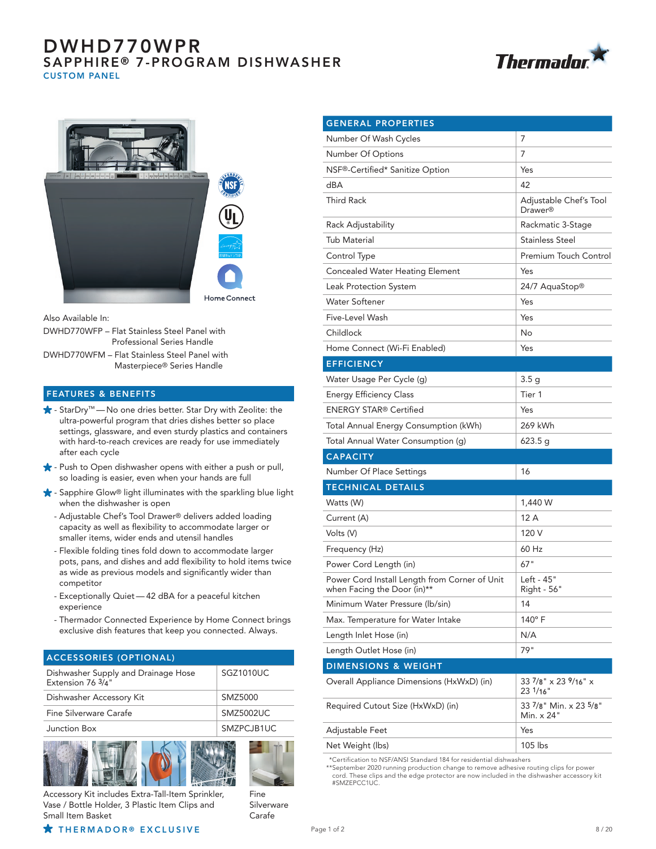# DWHD770WPR SAPPHIRE® 7-PROGRAM DISHWASHER CUSTOM PANEL





Also Available In:

| DWHD770WFP - Flat Stainless Steel Panel with |
|----------------------------------------------|
| Professional Series Handle                   |
| DWHD770WFM - Flat Stainless Steel Panel with |

Masterpiece® Series Handle

### FEATURES & BENEFITS

- StarDry™ No one dries better. Star Dry with Zeolite: the ultra-powerful program that dries dishes better so place settings, glassware, and even sturdy plastics and containers with hard-to-reach crevices are ready for use immediately after each cycle
- $\bigstar$  Push to Open dishwasher opens with either a push or pull, so loading is easier, even when your hands are full
- $\bigstar$  Sapphire Glow® light illuminates with the sparkling blue light when the dishwasher is open
	- Adjustable Chef's Tool Drawer® delivers added loading capacity as well as flexibility to accommodate larger or smaller items, wider ends and utensil handles
	- Flexible folding tines fold down to accommodate larger pots, pans, and dishes and add flexibility to hold items twice as wide as previous models and significantly wider than competitor
	- Exceptionally Quiet 42 dBA for a peaceful kitchen experience
	- Thermador Connected Experience by Home Connect brings exclusive dish features that keep you connected. Always.

| <b>ACCESSORIES (OPTIONAL)</b>                            |            |  |
|----------------------------------------------------------|------------|--|
| Dishwasher Supply and Drainage Hose<br>Extension 76 3/4" | SGZ1010UC  |  |
| Dishwasher Accessory Kit                                 | SMZ5000    |  |
| Fine Silverware Carafe                                   | SMZ5002UC  |  |
| Junction Box                                             | SMZPCJB1UC |  |
|                                                          |            |  |





Fine Silverware Carafe

Accessory Kit includes Extra-Tall-Item Sprinkler, Vase / Bottle Holder, 3 Plastic Item Clips and Small Item Basket

 $\star$  THERMADOR ® EXCLUSIVE  $P_{\text{age 1 of 2}}$  and  $P_{\text{age 2 of 2}}$ 

| <b>GENERAL PROPERTIES</b>                                                    |                                                     |
|------------------------------------------------------------------------------|-----------------------------------------------------|
| Number Of Wash Cycles                                                        | 7                                                   |
| Number Of Options                                                            | 7                                                   |
| NSF®-Certified* Sanitize Option                                              | Yes                                                 |
| dBA                                                                          | 42                                                  |
| Third Rack                                                                   | Adjustable Chef's Tool<br>Drawer <sup>®</sup>       |
| Rack Adjustability                                                           | Rackmatic 3-Stage                                   |
| Tub Material                                                                 | Stainless Steel                                     |
| Control Type                                                                 | Premium Touch Control                               |
| <b>Concealed Water Heating Element</b>                                       | Yes                                                 |
| Leak Protection System                                                       | 24/7 AquaStop®                                      |
| Water Softener                                                               | Yes                                                 |
| Five-Level Wash                                                              | Yes                                                 |
| Childlock                                                                    | No                                                  |
| Home Connect (Wi-Fi Enabled)                                                 | Yes                                                 |
| <b>EFFICIENCY</b>                                                            |                                                     |
| Water Usage Per Cycle (g)                                                    | 3.5 g                                               |
| <b>Energy Efficiency Class</b>                                               | Tier 1                                              |
| ENERGY STAR® Certified                                                       | Yes                                                 |
| Total Annual Energy Consumption (kWh)                                        | 269 kWh                                             |
| Total Annual Water Consumption (g)                                           | 623.5 g                                             |
| <b>CAPACITY</b>                                                              |                                                     |
| Number Of Place Settings                                                     | 16                                                  |
| <b>TECHNICAL DETAILS</b>                                                     |                                                     |
| Watts (W)                                                                    | 1,440 W                                             |
| Current (A)                                                                  | 12 A                                                |
| Volts (V)                                                                    | 120 V                                               |
| Frequency (Hz)                                                               | 60 Hz                                               |
| Power Cord Length (in)                                                       | 67"                                                 |
| Power Cord Install Length from Corner of Unit<br>when Facing the Door (in)** | Left - 45"<br>Right - 56"                           |
| Minimum Water Pressure (lb/sin)                                              | 14                                                  |
| Max. Temperature for Water Intake                                            | 140°F                                               |
| Length Inlet Hose (in)                                                       | N/A                                                 |
| Length Outlet Hose (in)                                                      | 79"                                                 |
| <b>DIMENSIONS &amp; WEIGHT</b>                                               |                                                     |
| Overall Appliance Dimensions (HxWxD) (in)                                    | 33 $7$ /8" $\times$ 23 $9$ /16" $\times$<br>231/16" |
| Required Cutout Size (HxWxD) (in)                                            | 33 7/8" Min. x 23 5/8"<br>Min. x 24"                |
| Adjustable Feet                                                              | Yes                                                 |

Net Weight (lbs) 105 lbs \*Certification to NSF/ANSI Standard 184 for residential dishwashers

\*\*September 2020 running production change to remove adhesive routing clips for power cord. These clips and the edge protector are now included in the dishwasher accessory kit #SMZEPCC1UC.